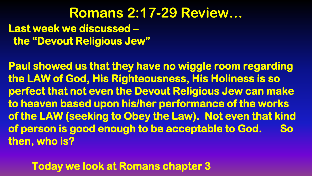#### **Romans 2:17-29 Review… Last week we discussed – the "Devout Religious Jew"**

**Paul showed us that they have no wiggle room regarding the LAW of God, His Righteousness, His Holiness is so perfect that not even the Devout Religious Jew can make to heaven based upon his/her performance of the works of the LAW (seeking to Obey the Law). Not even that kind of person is good enough to be acceptable to God. So then, who is?** 

 **Today we look at Romans chapter 3**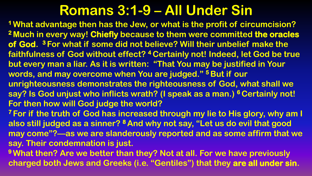**<sup>1</sup>What advantage then has the Jew, or what is the profit of circumcision? <sup>2</sup>Much in every way! Chiefly because to them were committed the oracles of God. <sup>3</sup>For what if some did not believe? Will their unbelief make the faithfulness of God without effect? <sup>4</sup>Certainly not! Indeed, let God be true but every man a liar. As it is written: "That You may be justified in Your words, and may overcome when You are judged." <sup>5</sup>But if our unrighteousness demonstrates the righteousness of God, what shall we say? Is God unjust who inflicts wrath? (I speak as a man.) <sup>6</sup>Certainly not! For then how will God judge the world? <sup>7</sup>For if the truth of God has increased through my lie to His glory, why am I also still judged as a sinner? <sup>8</sup>And why not say, "Let us do evil that good may come"?—as we are slanderously reported and as some affirm that we say. Their condemnation is just.**

**<sup>9</sup>What then? Are we better than they? Not at all. For we have previously charged both Jews and Greeks (i.e. "Gentiles") that they are all under sin.**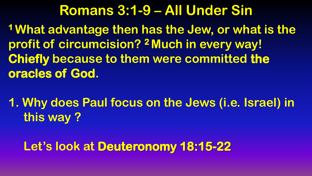**<sup>1</sup>What advantage then has the Jew, or what is the profit of circumcision? <sup>2</sup>Much in every way! Chiefly because to them were committed the oracles of God.**

**1. Why does Paul focus on the Jews (i.e. Israel) in this way ?**

#### **Let's look at Deuteronomy 18:15-22**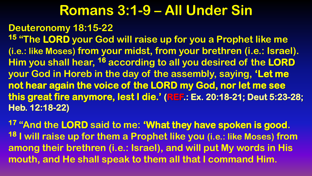#### **Deuteronomy 18:15-22**

**<sup>15</sup> "The LORD your God will raise up for you a Prophet like me (i.e.: like Moses) from your midst, from your brethren (i.e.: Israel). Him you shall hear, <sup>16</sup> according to all you desired of the LORD your God in Horeb in the day of the assembly, saying, 'Let me not hear again the voice of the LORD my God, nor let me see this great fire anymore, lest I die.' (REF.: Ex. 20:18-21; Deut 5:23-28; Heb. 12:18-22)** 

**<sup>17</sup> "And the LORD said to me: 'What they have spoken is good. <sup>18</sup> I will raise up for them a Prophet like you (i.e.: like Moses) from among their brethren (i.e.: Israel), and will put My words in His mouth, and He shall speak to them all that I command Him.**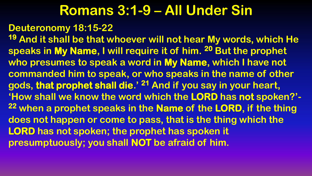#### **Deuteronomy 18:15-22**

**<sup>19</sup> And it shall be that whoever will not hear My words, which He speaks in My Name, I will require it of him. <sup>20</sup> But the prophet who presumes to speak a word in My Name, which I have not commanded him to speak, or who speaks in the name of other gods, that prophet shall die.' <sup>21</sup> And if you say in your heart, 'How shall we know the word which the LORD has not spoken?'- <sup>22</sup> when a prophet speaks in the Name of the LORD, if the thing does not happen or come to pass, that is the thing which the LORD has not spoken; the prophet has spoken it presumptuously; you shall NOT be afraid of him.**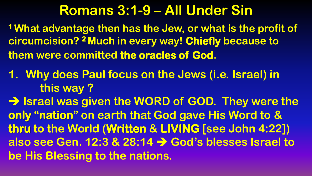**<sup>1</sup>What advantage then has the Jew, or what is the profit of circumcision? <sup>2</sup>Much in every way! Chiefly because to them were committed the oracles of God.**

**1. Why does Paul focus on the Jews (i.e. Israel) in this way ?**

→ Israel was given the WORD of GOD. They were the **only "nation" on earth that God gave His Word to & thru to the World (Written & LIVING [see John 4:22]) also see Gen. 12:3 & 28:14 God's blesses Israel to be His Blessing to the nations.**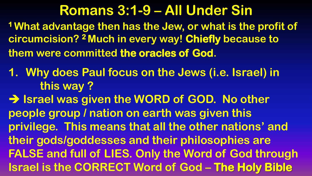**<sup>1</sup>What advantage then has the Jew, or what is the profit of circumcision? <sup>2</sup>Much in every way! Chiefly because to them were committed the oracles of God.**

**1. Why does Paul focus on the Jews (i.e. Israel) in this way ?**

**ISrael was given the WORD of GOD. No other people group / nation on earth was given this privilege. This means that all the other nations' and their gods/goddesses and their philosophies are FALSE and full of LIES. Only the Word of God through Israel is the CORRECT Word of God – The Holy Bible**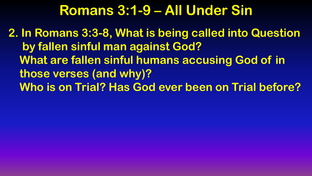**2. In Romans 3:3-8, What is being called into Question by fallen sinful man against God? What are fallen sinful humans accusing God of in those verses (and why)? Who is on Trial? Has God ever been on Trial before?**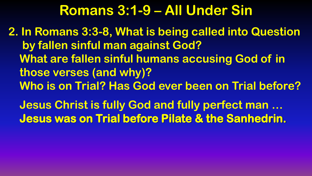**2. In Romans 3:3-8, What is being called into Question by fallen sinful man against God? What are fallen sinful humans accusing God of in those verses (and why)? Who is on Trial? Has God ever been on Trial before?**

 **Jesus Christ is fully God and fully perfect man … Jesus was on Trial before Pilate & the Sanhedrin.**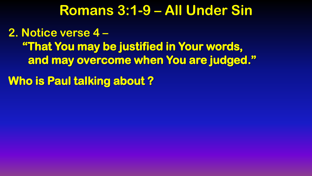**2. Notice verse 4 – "That You may be justified in Your words, and may overcome when You are judged."** 

**Who is Paul talking about ?**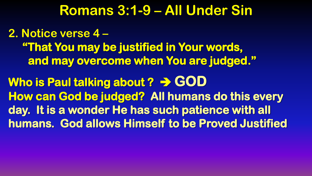**2. Notice verse 4 – "That You may be justified in Your words, and may overcome when You are judged."**  Who is Paul talking about ? > GOD **How can God be judged? All humans do this every day. It is a wonder He has such patience with all humans. God allows Himself to be Proved Justified**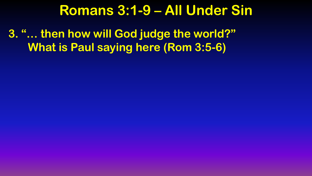**3. "… then how will God judge the world?" What is Paul saying here (Rom 3:5-6)**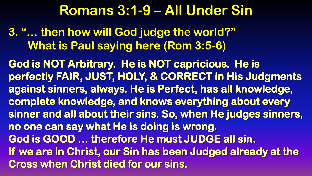**3. "… then how will God judge the world?" What is Paul saying here (Rom 3:5-6)**

**God is NOT Arbitrary. He is NOT capricious. He is perfectly FAIR, JUST, HOLY, & CORRECT in His Judgments against sinners, always. He is Perfect, has all knowledge, complete knowledge, and knows everything about every sinner and all about their sins. So, when He judges sinners, no one can say what He is doing is wrong. God is GOOD … therefore He must JUDGE all sin. If we are in Christ, our Sin has been Judged already at the Cross when Christ died for our sins.**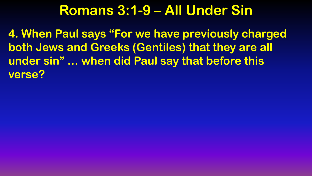**4. When Paul says "For we have previously charged both Jews and Greeks (Gentiles) that they are all under sin" … when did Paul say that before this verse?**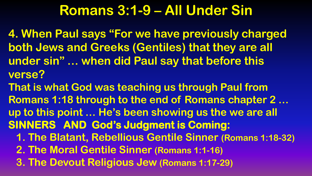**4. When Paul says "For we have previously charged both Jews and Greeks (Gentiles) that they are all under sin" … when did Paul say that before this verse?**

**That is what God was teaching us through Paul from Romans 1:18 through to the end of Romans chapter 2 … up to this point … He's been showing us the we are all SINNERS AND God's Judgment is Coming: 1. The Blatant, Rebellious Gentile Sinner (Romans 1:18-32) 2. The Moral Gentile Sinner (Romans 1:1-16)**

 **3. The Devout Religious Jew (Romans 1:17-29)**